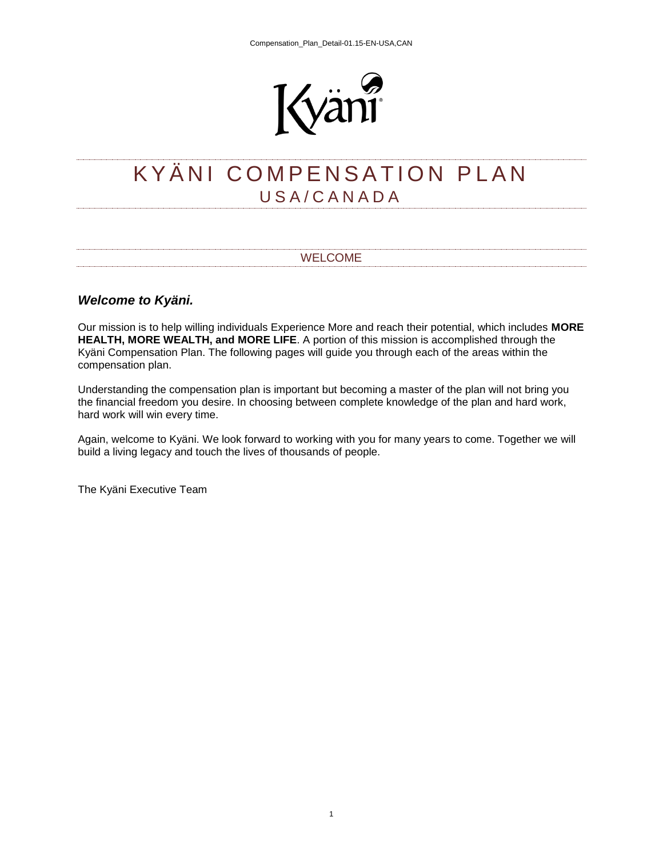

# KYÄNI COMPENSATION PLAN USA/CANADA

#### WELCOME

#### *Welcome to Kyäni.*

Our mission is to help willing individuals Experience More and reach their potential, which includes **MORE HEALTH, MORE WEALTH, and MORE LIFE**. A portion of this mission is accomplished through the Kyäni Compensation Plan. The following pages will guide you through each of the areas within the compensation plan.

Understanding the compensation plan is important but becoming a master of the plan will not bring you the financial freedom you desire. In choosing between complete knowledge of the plan and hard work, hard work will win every time.

Again, welcome to Kyäni. We look forward to working with you for many years to come. Together we will build a living legacy and touch the lives of thousands of people.

The Kyäni Executive Team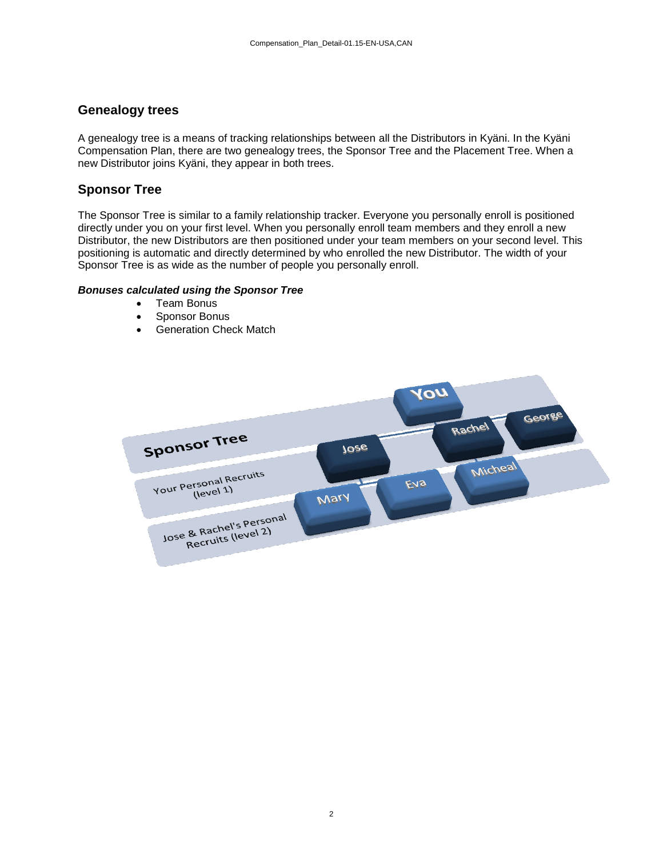#### **Genealogy trees**

A genealogy tree is a means of tracking relationships between all the Distributors in Kyäni. In the Kyäni Compensation Plan, there are two genealogy trees, the Sponsor Tree and the Placement Tree. When a new Distributor joins Kyäni, they appear in both trees.

#### **Sponsor Tree**

The Sponsor Tree is similar to a family relationship tracker. Everyone you personally enroll is positioned directly under you on your first level. When you personally enroll team members and they enroll a new Distributor, the new Distributors are then positioned under your team members on your second level. This positioning is automatic and directly determined by who enrolled the new Distributor. The width of your Sponsor Tree is as wide as the number of people you personally enroll.

#### *Bonuses calculated using the Sponsor Tree*

- Team Bonus
- Sponsor Bonus
- Generation Check Match

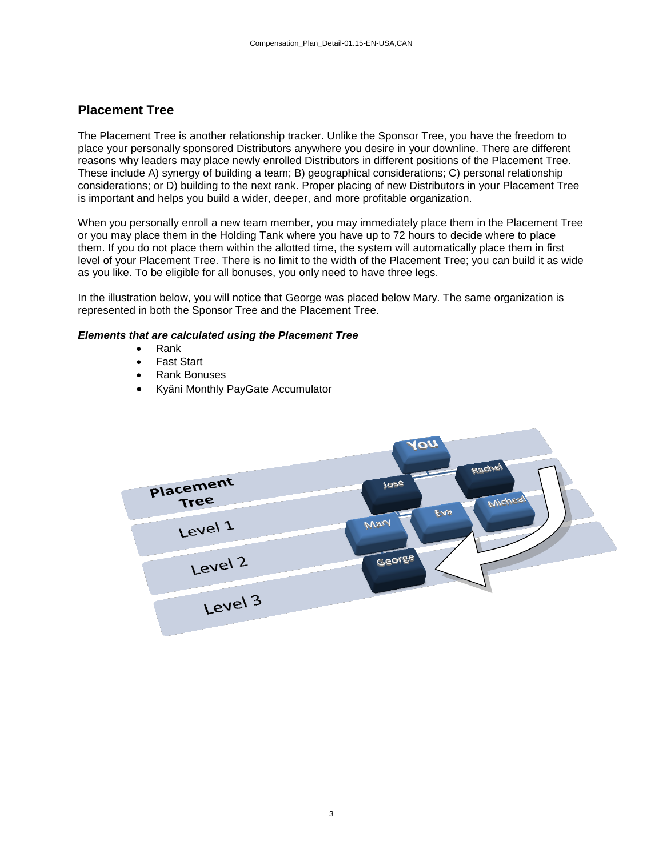## **Placement Tree**

The Placement Tree is another relationship tracker. Unlike the Sponsor Tree, you have the freedom to place your personally sponsored Distributors anywhere you desire in your downline. There are different reasons why leaders may place newly enrolled Distributors in different positions of the Placement Tree. These include A) synergy of building a team; B) geographical considerations; C) personal relationship considerations; or D) building to the next rank. Proper placing of new Distributors in your Placement Tree is important and helps you build a wider, deeper, and more profitable organization.

When you personally enroll a new team member, you may immediately place them in the Placement Tree or you may place them in the Holding Tank where you have up to 72 hours to decide where to place them. If you do not place them within the allotted time, the system will automatically place them in first level of your Placement Tree. There is no limit to the width of the Placement Tree; you can build it as wide as you like. To be eligible for all bonuses, you only need to have three legs.

In the illustration below, you will notice that George was placed below Mary. The same organization is represented in both the Sponsor Tree and the Placement Tree.

#### *Elements that are calculated using the Placement Tree*

- Rank
- Fast Start
- Rank Bonuses
- Kyäni Monthly PayGate Accumulator

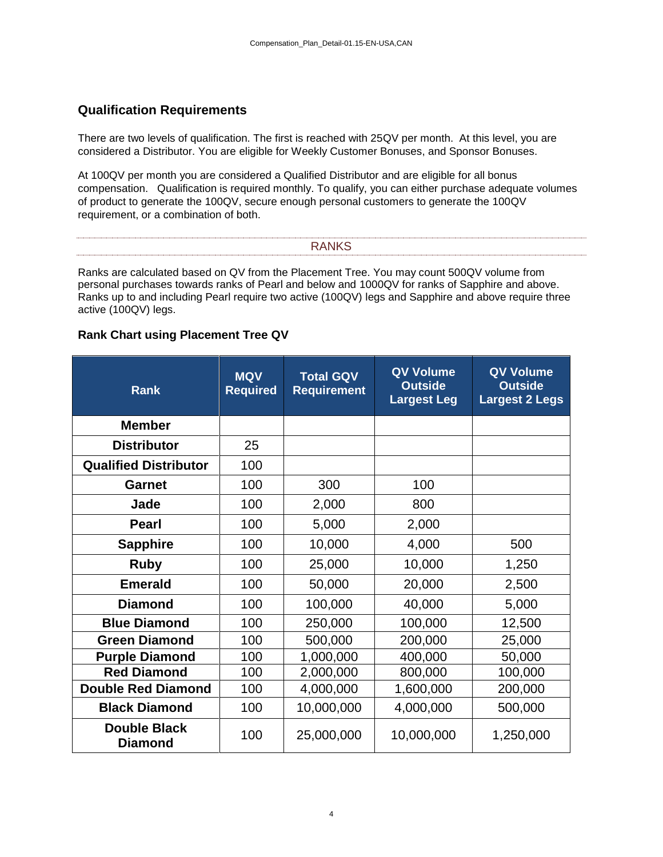## **Qualification Requirements**

There are two levels of qualification. The first is reached with 25QV per month. At this level, you are considered a Distributor. You are eligible for Weekly Customer Bonuses, and Sponsor Bonuses.

At 100QV per month you are considered a Qualified Distributor and are eligible for all bonus compensation. Qualification is required monthly. To qualify, you can either purchase adequate volumes of product to generate the 100QV, secure enough personal customers to generate the 100QV requirement, or a combination of both.

| RANKS<br>1 V J J J V |
|----------------------|
|                      |

Ranks are calculated based on QV from the Placement Tree. You may count 500QV volume from personal purchases towards ranks of Pearl and below and 1000QV for ranks of Sapphire and above. Ranks up to and including Pearl require two active (100QV) legs and Sapphire and above require three active (100QV) legs.

#### **Rank Chart using Placement Tree QV**

| <b>Rank</b>                           | <b>MQV</b><br><b>Required</b> | <b>Total GQV</b><br><b>Requirement</b> | QV Volume<br><b>Outside</b><br><b>Largest Leg</b> | QV Volume<br><b>Outside</b><br><b>Largest 2 Legs</b> |
|---------------------------------------|-------------------------------|----------------------------------------|---------------------------------------------------|------------------------------------------------------|
| <b>Member</b>                         |                               |                                        |                                                   |                                                      |
| <b>Distributor</b>                    | 25                            |                                        |                                                   |                                                      |
| <b>Qualified Distributor</b>          | 100                           |                                        |                                                   |                                                      |
| <b>Garnet</b>                         | 100                           | 300                                    | 100                                               |                                                      |
| Jade                                  | 100                           | 2,000                                  | 800                                               |                                                      |
| <b>Pearl</b>                          | 100                           | 5,000                                  | 2,000                                             |                                                      |
| <b>Sapphire</b>                       | 100                           | 10,000                                 | 4,000                                             | 500                                                  |
| <b>Ruby</b>                           | 100                           | 25,000                                 | 10,000                                            | 1,250                                                |
| <b>Emerald</b>                        | 100                           | 50,000                                 | 20,000                                            | 2,500                                                |
| <b>Diamond</b>                        | 100                           | 100,000                                | 40,000                                            | 5,000                                                |
| <b>Blue Diamond</b>                   | 100                           | 250,000                                | 100,000                                           | 12,500                                               |
| <b>Green Diamond</b>                  | 100                           | 500,000                                | 200,000                                           | 25,000                                               |
| <b>Purple Diamond</b>                 | 100                           | 1,000,000                              | 400,000                                           | 50,000                                               |
| <b>Red Diamond</b>                    | 100                           | 2,000,000                              | 800,000                                           | 100,000                                              |
| <b>Double Red Diamond</b>             | 100                           | 4,000,000                              | 1,600,000                                         | 200,000                                              |
| <b>Black Diamond</b>                  | 100                           | 10,000,000                             | 4,000,000                                         | 500,000                                              |
| <b>Double Black</b><br><b>Diamond</b> | 100                           | 25,000,000                             | 10,000,000                                        | 1,250,000                                            |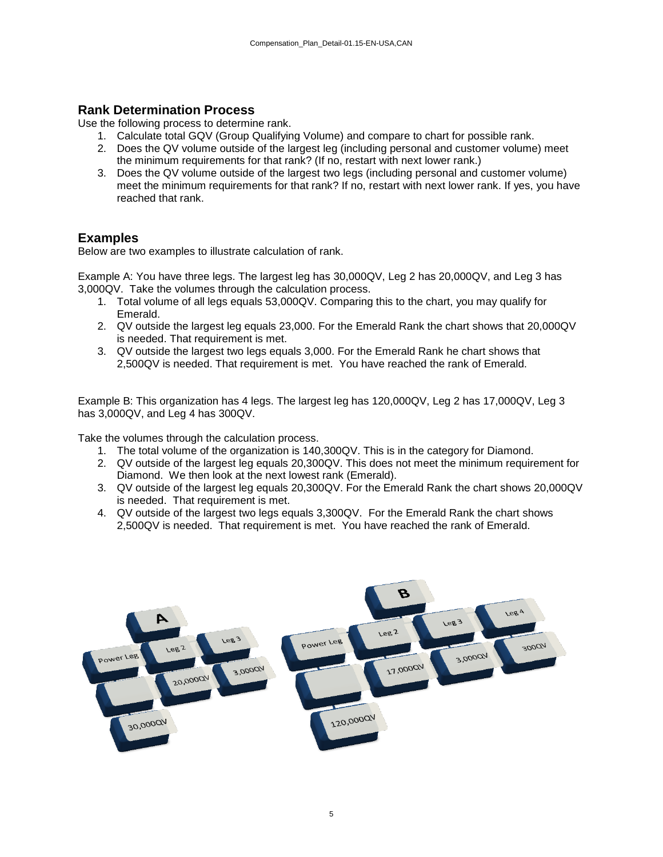## **Rank Determination Process**

Use the following process to determine rank.

- 1. Calculate total GQV (Group Qualifying Volume) and compare to chart for possible rank.
- 2. Does the QV volume outside of the largest leg (including personal and customer volume) meet the minimum requirements for that rank? (If no, restart with next lower rank.)
- 3. Does the QV volume outside of the largest two legs (including personal and customer volume) meet the minimum requirements for that rank? If no, restart with next lower rank. If yes, you have reached that rank.

## **Examples**

Below are two examples to illustrate calculation of rank.

Example A: You have three legs. The largest leg has 30,000QV, Leg 2 has 20,000QV, and Leg 3 has 3,000QV. Take the volumes through the calculation process.

- 1. Total volume of all legs equals 53,000QV. Comparing this to the chart, you may qualify for Emerald.
- 2. QV outside the largest leg equals 23,000. For the Emerald Rank the chart shows that 20,000QV is needed. That requirement is met.
- 3. QV outside the largest two legs equals 3,000. For the Emerald Rank he chart shows that 2,500QV is needed. That requirement is met. You have reached the rank of Emerald.

Example B: This organization has 4 legs. The largest leg has 120,000QV, Leg 2 has 17,000QV, Leg 3 has 3,000QV, and Leg 4 has 300QV.

Take the volumes through the calculation process.

- 1. The total volume of the organization is 140,300QV. This is in the category for Diamond.
- 2. QV outside of the largest leg equals 20,300QV. This does not meet the minimum requirement for Diamond. We then look at the next lowest rank (Emerald).
- 3. QV outside of the largest leg equals 20,300QV. For the Emerald Rank the chart shows 20,000QV is needed. That requirement is met.
- 4. QV outside of the largest two legs equals 3,300QV. For the Emerald Rank the chart shows 2,500QV is needed. That requirement is met. You have reached the rank of Emerald.

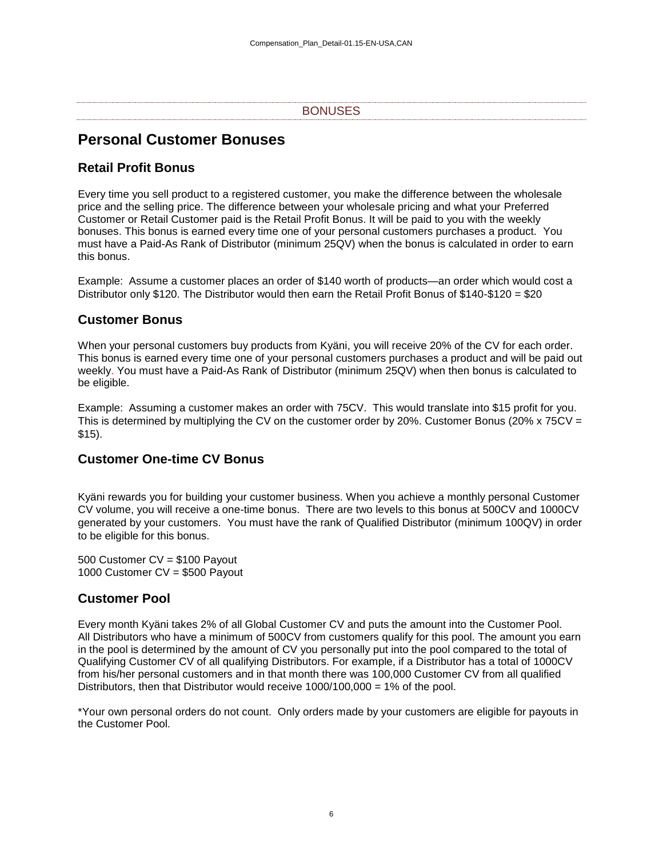| <b>DOMILIOTO</b><br><b>UITUULU</b> |
|------------------------------------|
|                                    |

## **Personal Customer Bonuses**

#### **Retail Profit Bonus**

Every time you sell product to a registered customer, you make the difference between the wholesale price and the selling price. The difference between your wholesale pricing and what your Preferred Customer or Retail Customer paid is the Retail Profit Bonus. It will be paid to you with the weekly bonuses. This bonus is earned every time one of your personal customers purchases a product. You must have a Paid-As Rank of Distributor (minimum 25QV) when the bonus is calculated in order to earn this bonus.

Example: Assume a customer places an order of \$140 worth of products—an order which would cost a Distributor only \$120. The Distributor would then earn the Retail Profit Bonus of \$140-\$120 = \$20

#### **Customer Bonus**

When your personal customers buy products from Kyäni, you will receive 20% of the CV for each order. This bonus is earned every time one of your personal customers purchases a product and will be paid out weekly. You must have a Paid-As Rank of Distributor (minimum 25QV) when then bonus is calculated to be eligible.

Example: Assuming a customer makes an order with 75CV. This would translate into \$15 profit for you. This is determined by multiplying the CV on the customer order by 20%. Customer Bonus (20% x 75CV  $=$ \$15).

#### **Customer One-time CV Bonus**

Kyäni rewards you for building your customer business. When you achieve a monthly personal Customer CV volume, you will receive a one-time bonus. There are two levels to this bonus at 500CV and 1000CV generated by your customers. You must have the rank of Qualified Distributor (minimum 100QV) in order to be eligible for this bonus.

500 Customer CV = \$100 Payout 1000 Customer CV = \$500 Payout

#### **Customer Pool**

Every month Kyäni takes 2% of all Global Customer CV and puts the amount into the Customer Pool. All Distributors who have a minimum of 500CV from customers qualify for this pool. The amount you earn in the pool is determined by the amount of CV you personally put into the pool compared to the total of Qualifying Customer CV of all qualifying Distributors. For example, if a Distributor has a total of 1000CV from his/her personal customers and in that month there was 100,000 Customer CV from all qualified Distributors, then that Distributor would receive  $1000/100,000 = 1%$  of the pool.

\*Your own personal orders do not count. Only orders made by your customers are eligible for payouts in the Customer Pool.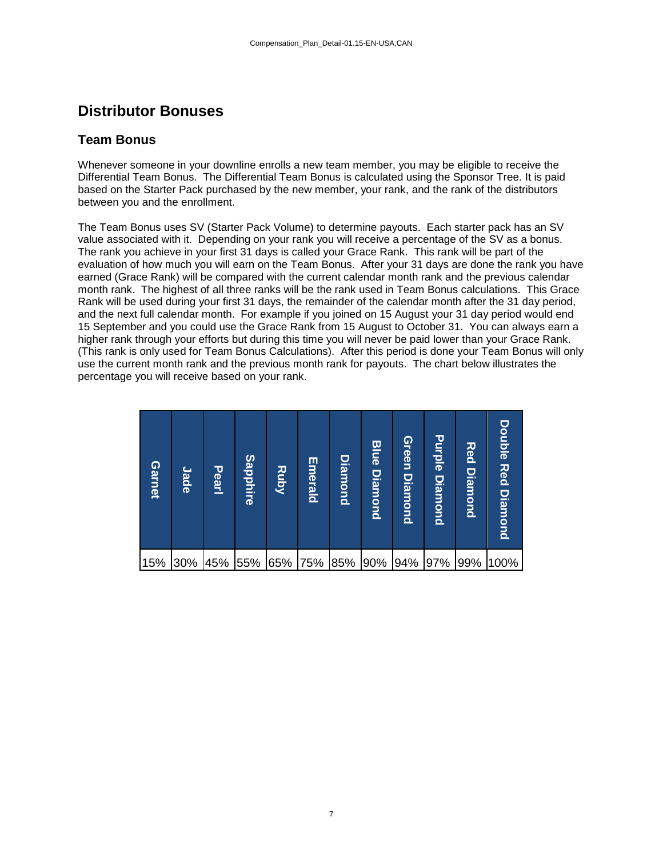## **Distributor Bonuses**

#### **Team Bonus**

Whenever someone in your downline enrolls a new team member, you may be eligible to receive the Differential Team Bonus. The Differential Team Bonus is calculated using the Sponsor Tree. It is paid based on the Starter Pack purchased by the new member, your rank, and the rank of the distributors between you and the enrollment.

The Team Bonus uses SV (Starter Pack Volume) to determine payouts. Each starter pack has an SV value associated with it. Depending on your rank you will receive a percentage of the SV as a bonus. The rank you achieve in your first 31 days is called your Grace Rank. This rank will be part of the evaluation of how much you will earn on the Team Bonus. After your 31 days are done the rank you have earned (Grace Rank) will be compared with the current calendar month rank and the previous calendar month rank. The highest of all three ranks will be the rank used in Team Bonus calculations. This Grace Rank will be used during your first 31 days, the remainder of the calendar month after the 31 day period, and the next full calendar month. For example if you joined on 15 August your 31 day period would end 15 September and you could use the Grace Rank from 15 August to October 31. You can always earn a higher rank through your efforts but during this time you will never be paid lower than your Grace Rank. (This rank is only used for Team Bonus Calculations). After this period is done your Team Bonus will only use the current month rank and the previous month rank for payouts. The chart below illustrates the percentage you will receive based on your rank.

| <u>Garnet</u> | Jade | Pearl | <b>Sapphire</b> | <b>Ruby</b> | <b>Emerald</b> | <u>Diamond</u> | <b>Blue</b><br><b>Diamond</b> | Green<br><b>Diamond</b> | Purple<br><b>Diamond</b> | <b>Red</b><br><u>Diamond</u> | <b>Double Red</b><br><b>Diamond</b> |
|---------------|------|-------|-----------------|-------------|----------------|----------------|-------------------------------|-------------------------|--------------------------|------------------------------|-------------------------------------|
| 15%           | 30%  | 45%   | 55%             | 65%         | 75%            | 85%            | 90%                           | 94%                     | 97%                      | 99%                          | 100%                                |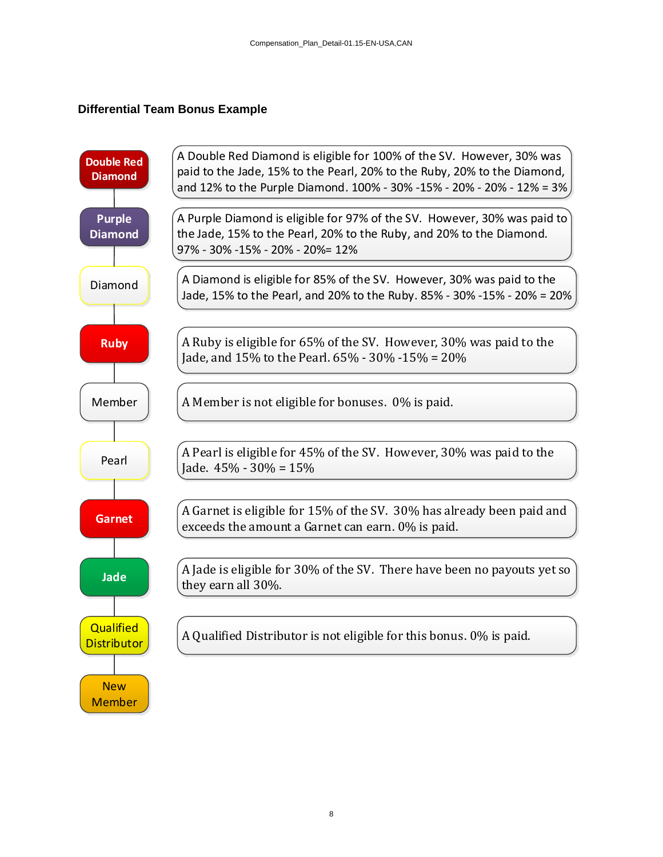#### **Differential Team Bonus Example**

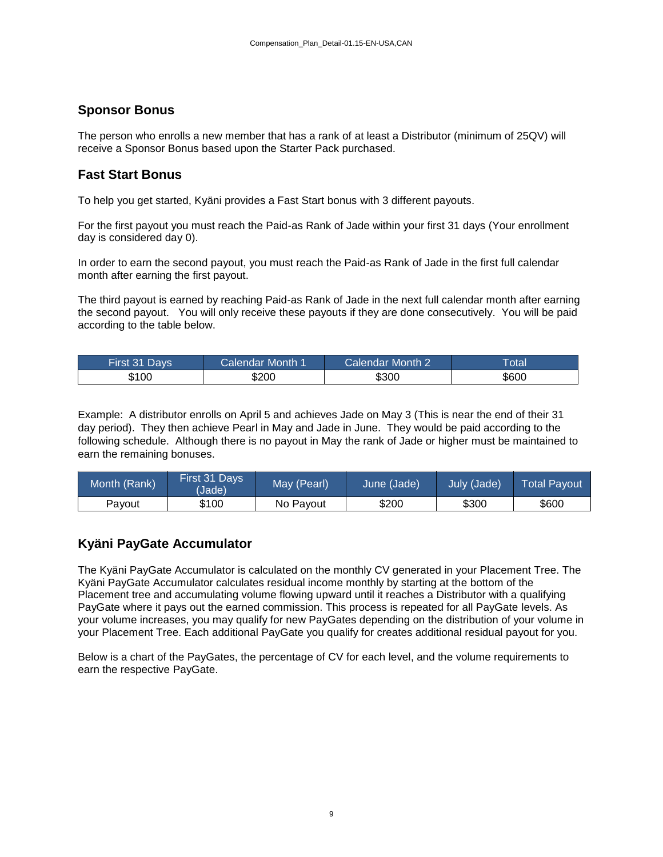## **Sponsor Bonus**

The person who enrolls a new member that has a rank of at least a Distributor (minimum of 25QV) will receive a Sponsor Bonus based upon the Starter Pack purchased.

#### **Fast Start Bonus**

To help you get started, Kyäni provides a Fast Start bonus with 3 different payouts.

For the first payout you must reach the Paid-as Rank of Jade within your first 31 days (Your enrollment day is considered day 0).

In order to earn the second payout, you must reach the Paid-as Rank of Jade in the first full calendar month after earning the first payout.

The third payout is earned by reaching Paid-as Rank of Jade in the next full calendar month after earning the second payout. You will only receive these payouts if they are done consecutively. You will be paid according to the table below.

| First 31 Days! | Calendar Month 1 | ICalendar Month 21 | <b>Total</b> |
|----------------|------------------|--------------------|--------------|
| \$100          | \$200            | \$300              | \$60C        |

Example: A distributor enrolls on April 5 and achieves Jade on May 3 (This is near the end of their 31 day period). They then achieve Pearl in May and Jade in June. They would be paid according to the following schedule. Although there is no payout in May the rank of Jade or higher must be maintained to earn the remaining bonuses.

| Month (Rank) | First 31 Days<br>(Jade) | May (Pearl) | June (Jade) | July (Jade) | ⊦Total Pavout |
|--------------|-------------------------|-------------|-------------|-------------|---------------|
| Pavout       | \$100                   | No Pavout   | \$200       | \$300       | \$600         |

## **Kyäni PayGate Accumulator**

The Kyäni PayGate Accumulator is calculated on the monthly CV generated in your Placement Tree. The Kyäni PayGate Accumulator calculates residual income monthly by starting at the bottom of the Placement tree and accumulating volume flowing upward until it reaches a Distributor with a qualifying PayGate where it pays out the earned commission. This process is repeated for all PayGate levels. As your volume increases, you may qualify for new PayGates depending on the distribution of your volume in your Placement Tree. Each additional PayGate you qualify for creates additional residual payout for you.

Below is a chart of the PayGates, the percentage of CV for each level, and the volume requirements to earn the respective PayGate.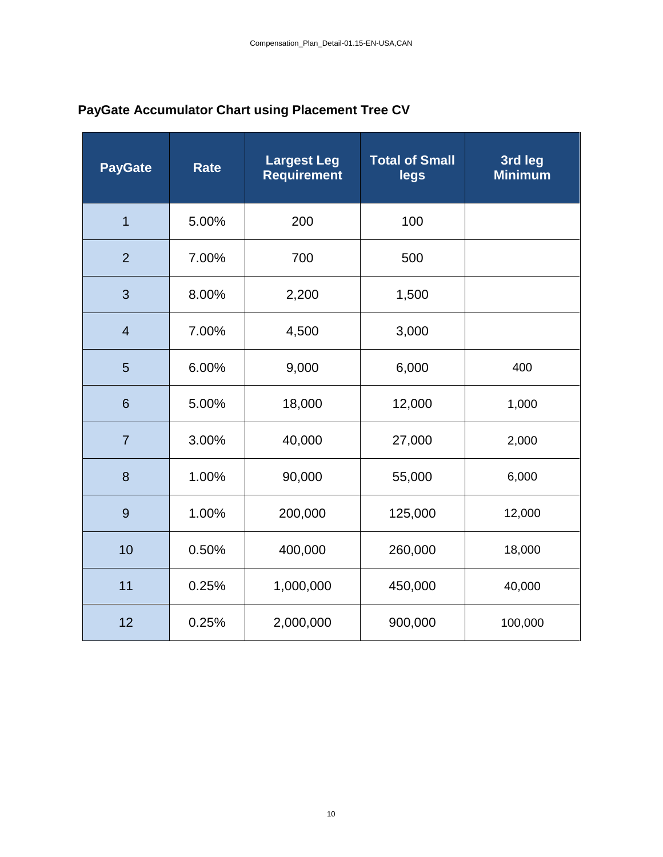| <b>PayGate</b> | <b>Rate</b> | <b>Largest Leg</b><br><b>Requirement</b> | <b>Total of Small</b><br>legs | 3rd leg<br><b>Minimum</b> |
|----------------|-------------|------------------------------------------|-------------------------------|---------------------------|
| $\overline{1}$ | 5.00%       | 200                                      | 100                           |                           |
| $\overline{2}$ | 7.00%       | 700                                      | 500                           |                           |
| 3              | 8.00%       | 2,200                                    | 1,500                         |                           |
| $\overline{4}$ | 7.00%       | 4,500                                    | 3,000                         |                           |
| 5              | 6.00%       | 9,000                                    | 6,000                         | 400                       |
| 6              | 5.00%       | 18,000                                   | 12,000                        | 1,000                     |
| $\overline{7}$ | 3.00%       | 40,000                                   | 27,000                        | 2,000                     |
| 8              | 1.00%       | 90,000                                   | 55,000                        | 6,000                     |
| 9              | 1.00%       | 200,000                                  | 125,000                       | 12,000                    |
| 10             | 0.50%       | 400,000                                  | 260,000                       | 18,000                    |
| 11             | 0.25%       | 1,000,000                                | 450,000                       | 40,000                    |
| 12             | 0.25%       | 2,000,000                                | 900,000                       | 100,000                   |

## **PayGate Accumulator Chart using Placement Tree CV**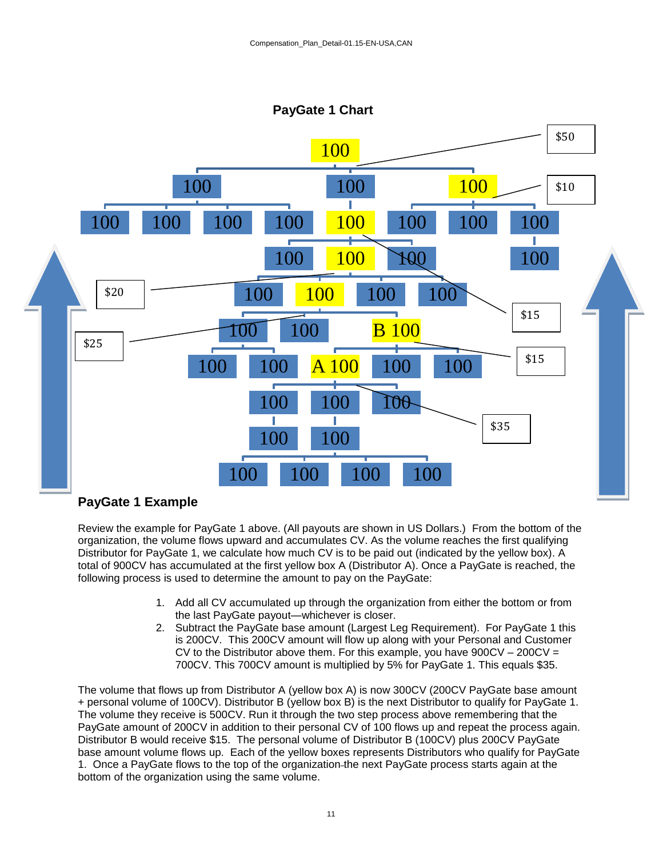

## **PayGate 1 Example**

Review the example for PayGate 1 above. (All payouts are shown in US Dollars.) From the bottom of the organization, the volume flows upward and accumulates CV. As the volume reaches the first qualifying Distributor for PayGate 1, we calculate how much CV is to be paid out (indicated by the yellow box). A total of 900CV has accumulated at the first yellow box A (Distributor A). Once a PayGate is reached, the following process is used to determine the amount to pay on the PayGate:

- 1. Add all CV accumulated up through the organization from either the bottom or from the last PayGate payout—whichever is closer.
- 2. Subtract the PayGate base amount (Largest Leg Requirement). For PayGate 1 this is 200CV. This 200CV amount will flow up along with your Personal and Customer CV to the Distributor above them. For this example, you have  $900CV - 200CV =$ 700CV. This 700CV amount is multiplied by 5% for PayGate 1. This equals \$35.

The volume that flows up from Distributor A (yellow box A) is now 300CV (200CV PayGate base amount + personal volume of 100CV). Distributor B (yellow box B) is the next Distributor to qualify for PayGate 1. The volume they receive is 500CV. Run it through the two step process above remembering that the PayGate amount of 200CV in addition to their personal CV of 100 flows up and repeat the process again. Distributor B would receive \$15. The personal volume of Distributor B (100CV) plus 200CV PayGate base amount volume flows up. Each of the yellow boxes represents Distributors who qualify for PayGate 1. Once a PayGate flows to the top of the organization the next PayGate process starts again at the bottom of the organization using the same volume.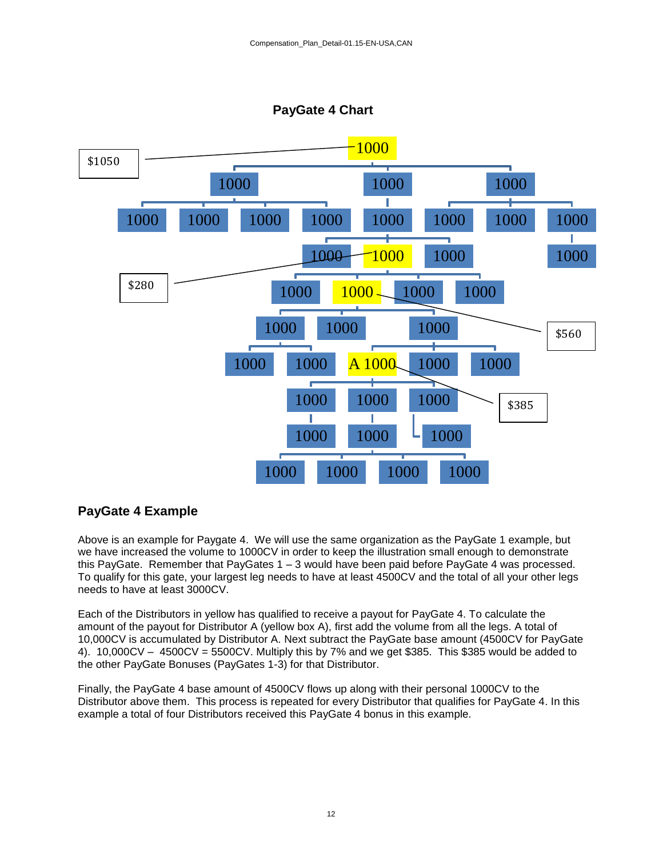## **PayGate 4 Chart**



## **PayGate 4 Example**

Above is an example for Paygate 4. We will use the same organization as the PayGate 1 example, but we have increased the volume to 1000CV in order to keep the illustration small enough to demonstrate this PayGate. Remember that PayGates 1 – 3 would have been paid before PayGate 4 was processed. To qualify for this gate, your largest leg needs to have at least 4500CV and the total of all your other legs needs to have at least 3000CV.

Each of the Distributors in yellow has qualified to receive a payout for PayGate 4. To calculate the amount of the payout for Distributor A (yellow box A), first add the volume from all the legs. A total of 10,000CV is accumulated by Distributor A. Next subtract the PayGate base amount (4500CV for PayGate 4).  $10,000$ CV –  $4500$ CV =  $5500$ CV. Multiply this by 7% and we get \$385. This \$385 would be added to the other PayGate Bonuses (PayGates 1-3) for that Distributor.

Finally, the PayGate 4 base amount of 4500CV flows up along with their personal 1000CV to the Distributor above them. This process is repeated for every Distributor that qualifies for PayGate 4. In this example a total of four Distributors received this PayGate 4 bonus in this example.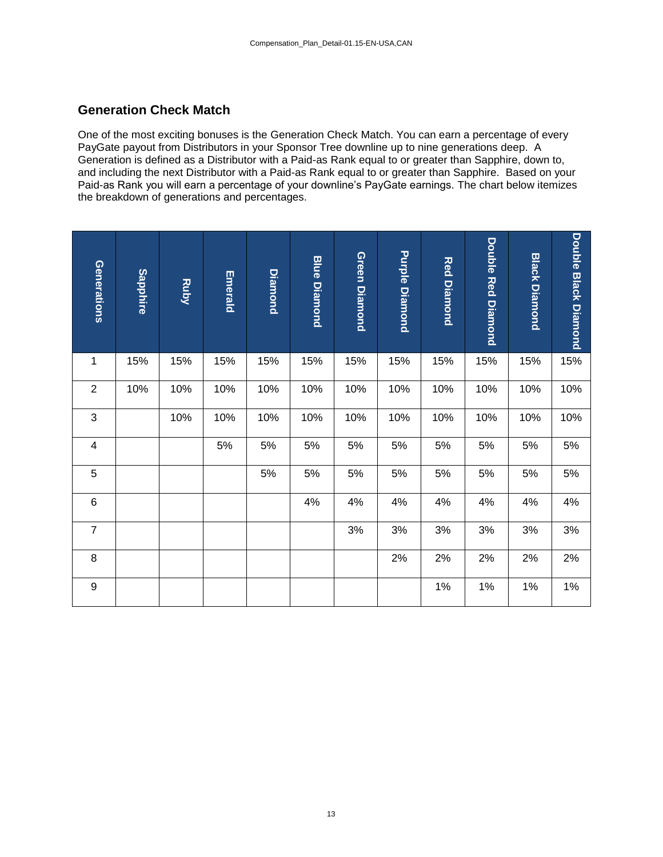#### **Generation Check Match**

One of the most exciting bonuses is the Generation Check Match. You can earn a percentage of every PayGate payout from Distributors in your Sponsor Tree downline up to nine generations deep. A Generation is defined as a Distributor with a Paid-as Rank equal to or greater than Sapphire, down to, and including the next Distributor with a Paid-as Rank equal to or greater than Sapphire. Based on your Paid-as Rank you will earn a percentage of your downline's PayGate earnings. The chart below itemizes the breakdown of generations and percentages.

| Generations    | <b>Sapphire</b> | <b>Ruby</b> | <b>Emerald</b> | Diamond | <b>Blue Diamond</b> | Green<br><b>Diamond</b> | <b>Purple Diamond</b> | <b>Red Diamond</b> | <b>Double Red Diamond</b> | <b>Black Diamond</b> | <b>Double Black Diamond</b> |
|----------------|-----------------|-------------|----------------|---------|---------------------|-------------------------|-----------------------|--------------------|---------------------------|----------------------|-----------------------------|
| 1              | 15%             | 15%         | 15%            | 15%     | 15%                 | 15%                     | 15%                   | 15%                | 15%                       | 15%                  | 15%                         |
| $\overline{2}$ | 10%             | 10%         | 10%            | 10%     | 10%                 | 10%                     | 10%                   | 10%                | 10%                       | 10%                  | 10%                         |
| 3              |                 | 10%         | 10%            | 10%     | 10%                 | 10%                     | 10%                   | 10%                | 10%                       | 10%                  | 10%                         |
| $\overline{4}$ |                 |             | 5%             | 5%      | 5%                  | 5%                      | 5%                    | 5%                 | 5%                        | $5%$                 | 5%                          |
| $\overline{5}$ |                 |             |                | 5%      | 5%                  | 5%                      | 5%                    | 5%                 | 5%                        | 5%                   | 5%                          |
| $\,6$          |                 |             |                |         | 4%                  | 4%                      | 4%                    | 4%                 | 4%                        | 4%                   | 4%                          |
| $\overline{7}$ |                 |             |                |         |                     | 3%                      | $3%$                  | 3%                 | 3%                        | 3%                   | 3%                          |
| 8              |                 |             |                |         |                     |                         | 2%                    | 2%                 | 2%                        | 2%                   | 2%                          |
| 9              |                 |             |                |         |                     |                         |                       | 1%                 | 1%                        | 1%                   | 1%                          |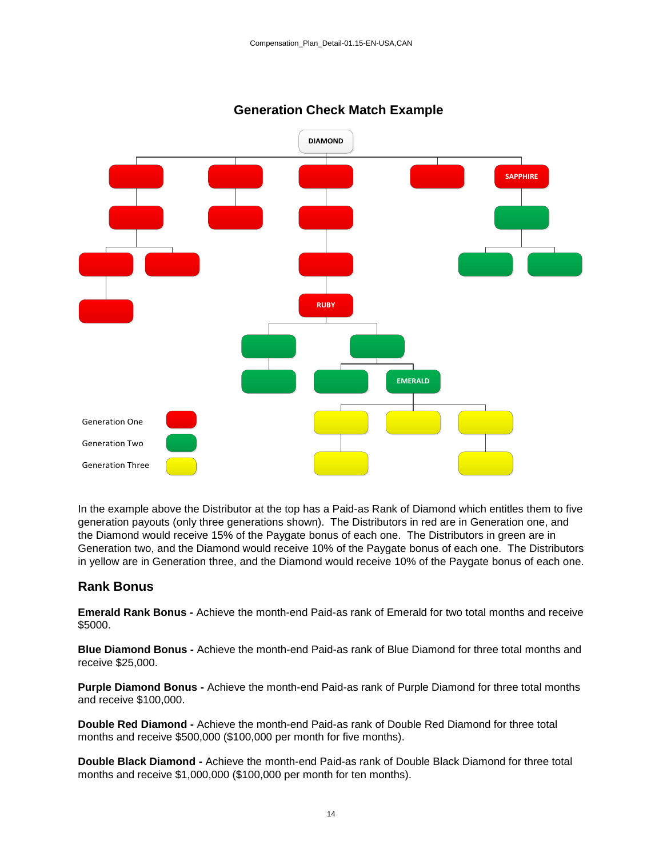

## **Generation Check Match Example**

In the example above the Distributor at the top has a Paid-as Rank of Diamond which entitles them to five generation payouts (only three generations shown). The Distributors in red are in Generation one, and the Diamond would receive 15% of the Paygate bonus of each one. The Distributors in green are in Generation two, and the Diamond would receive 10% of the Paygate bonus of each one. The Distributors in yellow are in Generation three, and the Diamond would receive 10% of the Paygate bonus of each one.

#### **Rank Bonus**

**Emerald Rank Bonus -** Achieve the month-end Paid-as rank of Emerald for two total months and receive \$5000.

**Blue Diamond Bonus -** Achieve the month-end Paid-as rank of Blue Diamond for three total months and receive \$25,000.

**Purple Diamond Bonus -** Achieve the month-end Paid-as rank of Purple Diamond for three total months and receive \$100,000.

**Double Red Diamond -** Achieve the month-end Paid-as rank of Double Red Diamond for three total months and receive \$500,000 (\$100,000 per month for five months).

**Double Black Diamond -** Achieve the month-end Paid-as rank of Double Black Diamond for three total months and receive \$1,000,000 (\$100,000 per month for ten months).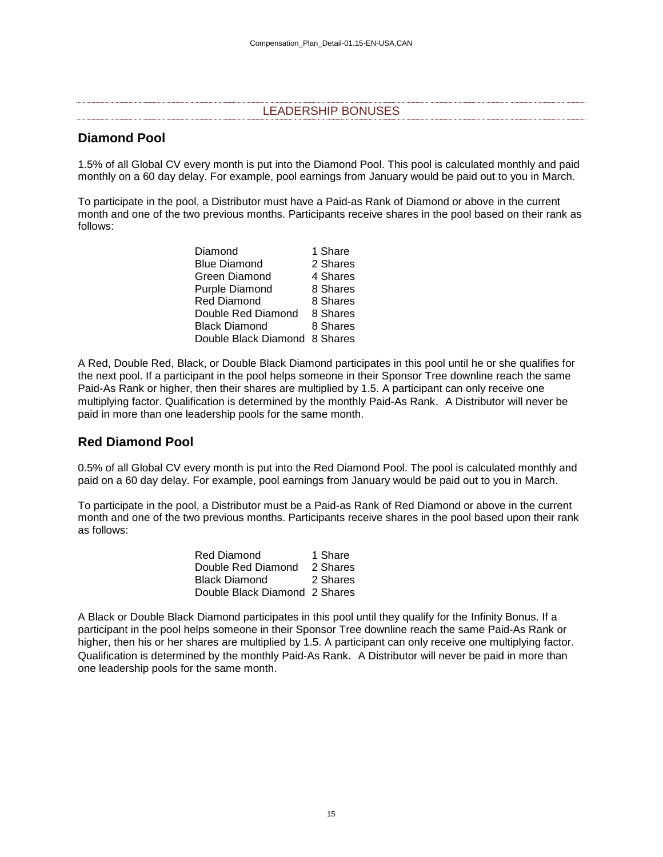#### LEADERSHIP BONUSES

#### **Diamond Pool**

1.5% of all Global CV every month is put into the Diamond Pool. This pool is calculated monthly and paid monthly on a 60 day delay. For example, pool earnings from January would be paid out to you in March.

To participate in the pool, a Distributor must have a Paid-as Rank of Diamond or above in the current month and one of the two previous months. Participants receive shares in the pool based on their rank as follows:

| Diamond                       | 1 Share  |
|-------------------------------|----------|
| <b>Blue Diamond</b>           | 2 Shares |
| Green Diamond                 | 4 Shares |
| <b>Purple Diamond</b>         | 8 Shares |
| <b>Red Diamond</b>            | 8 Shares |
| Double Red Diamond            | 8 Shares |
| <b>Black Diamond</b>          | 8 Shares |
| Double Black Diamond 8 Shares |          |

A Red, Double Red, Black, or Double Black Diamond participates in this pool until he or she qualifies for the next pool. If a participant in the pool helps someone in their Sponsor Tree downline reach the same Paid-As Rank or higher, then their shares are multiplied by 1.5. A participant can only receive one multiplying factor. Qualification is determined by the monthly Paid-As Rank. A Distributor will never be paid in more than one leadership pools for the same month.

#### **Red Diamond Pool**

0.5% of all Global CV every month is put into the Red Diamond Pool. The pool is calculated monthly and paid on a 60 day delay. For example, pool earnings from January would be paid out to you in March.

To participate in the pool, a Distributor must be a Paid-as Rank of Red Diamond or above in the current month and one of the two previous months. Participants receive shares in the pool based upon their rank as follows:

| Red Diamond                   | 1 Share  |
|-------------------------------|----------|
| Double Red Diamond            | 2 Shares |
| <b>Black Diamond</b>          | 2 Shares |
| Double Black Diamond 2 Shares |          |
|                               |          |

A Black or Double Black Diamond participates in this pool until they qualify for the Infinity Bonus. If a participant in the pool helps someone in their Sponsor Tree downline reach the same Paid-As Rank or higher, then his or her shares are multiplied by 1.5. A participant can only receive one multiplying factor. Qualification is determined by the monthly Paid-As Rank. A Distributor will never be paid in more than one leadership pools for the same month.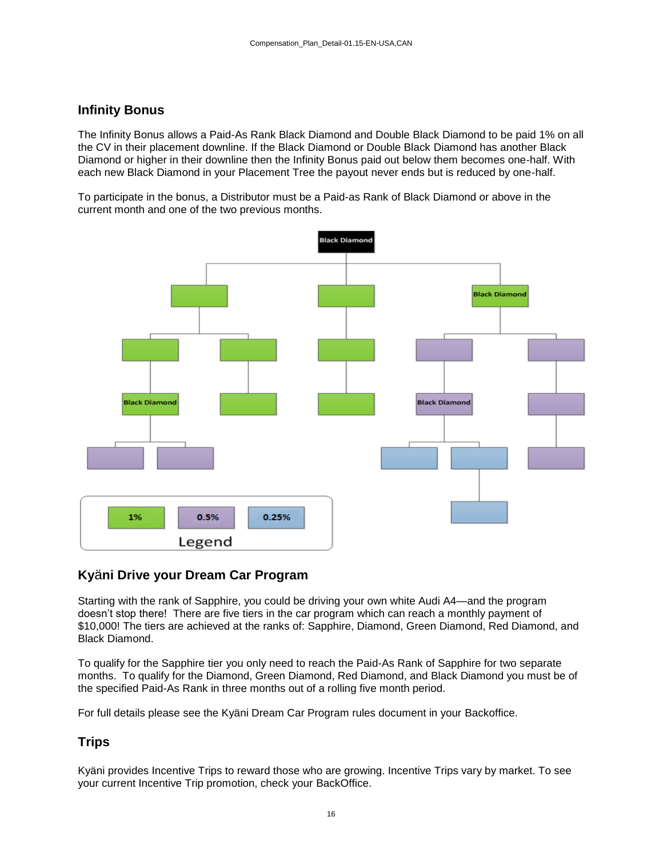## **Infinity Bonus**

The Infinity Bonus allows a Paid-As Rank Black Diamond and Double Black Diamond to be paid 1% on all the CV in their placement downline. If the Black Diamond or Double Black Diamond has another Black Diamond or higher in their downline then the Infinity Bonus paid out below them becomes one-half. With each new Black Diamond in your Placement Tree the payout never ends but is reduced by one-half.

To participate in the bonus, a Distributor must be a Paid-as Rank of Black Diamond or above in the current month and one of the two previous months.



## **Ky**ä**ni Drive your Dream Car Program**

Starting with the rank of Sapphire, you could be driving your own white Audi A4—and the program doesn't stop there! There are five tiers in the car program which can reach a monthly payment of \$10,000! The tiers are achieved at the ranks of: Sapphire, Diamond, Green Diamond, Red Diamond, and Black Diamond.

To qualify for the Sapphire tier you only need to reach the Paid-As Rank of Sapphire for two separate months. To qualify for the Diamond, Green Diamond, Red Diamond, and Black Diamond you must be of the specified Paid-As Rank in three months out of a rolling five month period.

For full details please see the Kyäni Dream Car Program rules document in your Backoffice.

## **Trips**

Kyäni provides Incentive Trips to reward those who are growing. Incentive Trips vary by market. To see your current Incentive Trip promotion, check your BackOffice.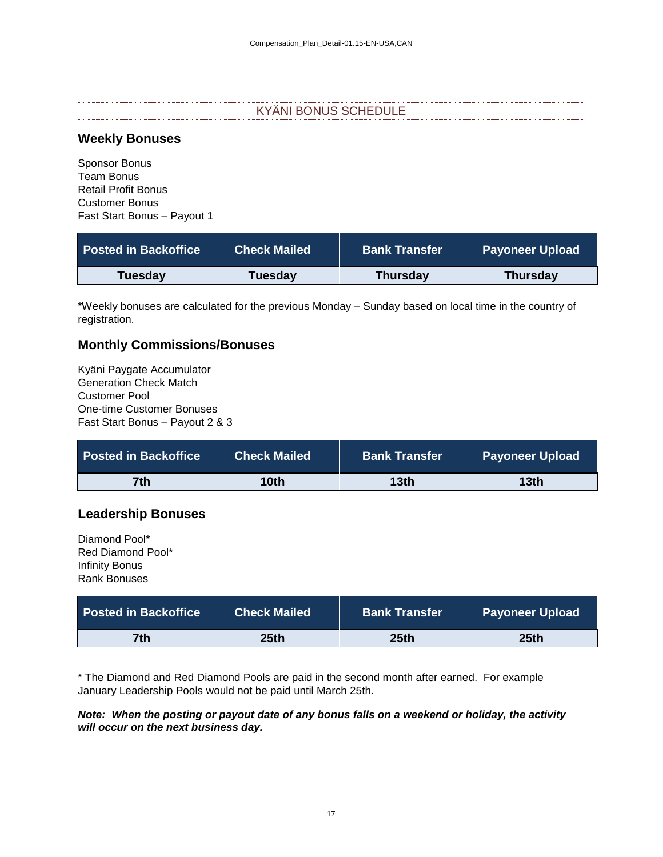#### KYÄNI BONUS SCHEDULE

#### **Weekly Bonuses**

Sponsor Bonus Team Bonus Retail Profit Bonus Customer Bonus Fast Start Bonus – Payout 1

| <b>Posted in Backoffice</b> | <b>Check Mailed</b> | <b>Bank Transfer</b> | <b>Payoneer Upload</b> |
|-----------------------------|---------------------|----------------------|------------------------|
| <b>Tuesday</b>              | Tuesday             | <b>Thursday</b>      | <b>Thursday</b>        |

\*Weekly bonuses are calculated for the previous Monday – Sunday based on local time in the country of registration.

## **Monthly Commissions/Bonuses**

Kyäni Paygate Accumulator Generation Check Match Customer Pool One-time Customer Bonuses Fast Start Bonus – Payout 2 & 3

| <b>Posted in Backoffice</b>                                                 | <b>Check Mailed</b> | <b>Bank Transfer</b> | <b>Payoneer Upload</b> |
|-----------------------------------------------------------------------------|---------------------|----------------------|------------------------|
| 7 <sup>th</sup>                                                             | 10 <sub>th</sub>    | 13 <sub>th</sub>     | 13 <sub>th</sub>       |
| <b>Leadership Bonuses</b>                                                   |                     |                      |                        |
| Diamond Pool*<br>Red Diamond Pool*<br>Infinity Bonus<br><b>Rank Bonuses</b> |                     |                      |                        |
| <b>Posted in Backoffice</b>                                                 | <b>Check Mailed</b> | <b>Bank Transfer</b> | <b>Payoneer Upload</b> |

**7th 25th 25th 25th**

\* The Diamond and Red Diamond Pools are paid in the second month after earned. For example January Leadership Pools would not be paid until March 25th.

#### *Note:**When the posting or payout date of any bonus falls on a weekend or holiday, the activity will occur on the next business day.*